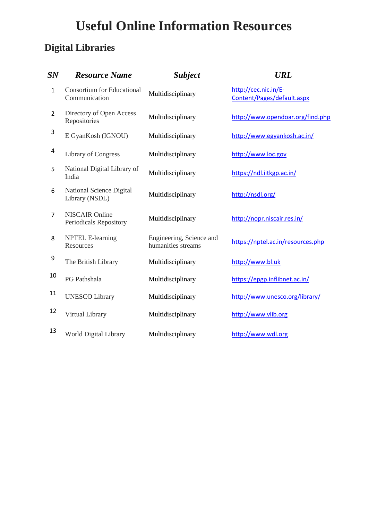## **Useful Online Information Resources**

## **Digital Libraries**

| SN           | <b>Resource Name</b>                               | <b>Subject</b>                                 | <b>URL</b>                                         |
|--------------|----------------------------------------------------|------------------------------------------------|----------------------------------------------------|
| $\mathbf{1}$ | <b>Consortium for Educational</b><br>Communication | Multidisciplinary                              | http://cec.nic.in/E-<br>Content/Pages/default.aspx |
| 2            | Directory of Open Access<br>Repositories           | Multidisciplinary                              | http://www.opendoar.org/find.php                   |
| 3            | E GyanKosh (IGNOU)                                 | Multidisciplinary                              | http://www.egyankosh.ac.in/                        |
| 4            | <b>Library of Congress</b>                         | Multidisciplinary                              | http://www.loc.gov                                 |
| 5            | National Digital Library of<br>India               | Multidisciplinary                              | https://ndl.iitkgp.ac.in/                          |
| 6            | National Science Digital<br>Library (NSDL)         | Multidisciplinary                              | http://nsdl.org/                                   |
| 7            | <b>NISCAIR Online</b><br>Periodicals Repository    | Multidisciplinary                              | http://nopr.niscair.res.in/                        |
| 8            | <b>NPTEL E-learning</b><br>Resources               | Engineering, Science and<br>humanities streams | https://nptel.ac.in/resources.php                  |
| 9            | The British Library                                | Multidisciplinary                              | http://www.bl.uk                                   |
| 10           | PG Pathshala                                       | Multidisciplinary                              | https://epgp.inflibnet.ac.in/                      |
| 11           | <b>UNESCO Library</b>                              | Multidisciplinary                              | http://www.unesco.org/library/                     |
| 12           | Virtual Library                                    | Multidisciplinary                              | http://www.vlib.org                                |
| 13           | World Digital Library                              | Multidisciplinary                              | http://www.wdl.org                                 |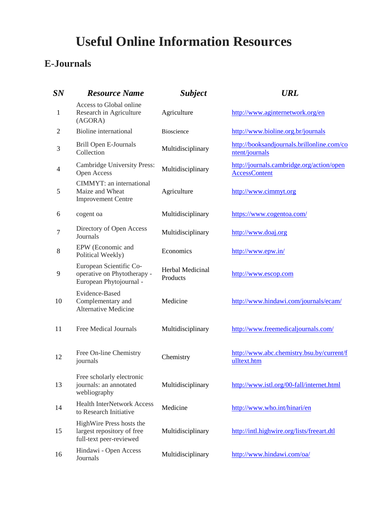## **Useful Online Information Resources**

## **E-Journals**

| SN             | <b>Resource Name</b>                                                              | <b>Subject</b>                      | <b>URL</b>                                                        |
|----------------|-----------------------------------------------------------------------------------|-------------------------------------|-------------------------------------------------------------------|
| $\mathbf{1}$   | Access to Global online<br>Research in Agriculture<br>(AGORA)                     | Agriculture                         | http://www.aginternetwork.org/en                                  |
| $\overline{c}$ | <b>Bioline</b> international                                                      | Bioscience                          | http://www.bioline.org.br/journals                                |
| 3              | Brill Open E-Journals<br>Collection                                               | Multidisciplinary                   | http://booksandjournals.brillonline.com/co<br>ntent/journals      |
| 4              | Cambridge University Press:<br>Open Access                                        | Multidisciplinary                   | http://journals.cambridge.org/action/open<br><b>AccessContent</b> |
| 5              | CIMMYT: an international<br>Maize and Wheat<br><b>Improvement Centre</b>          | Agriculture                         | http://www.cimmyt.org                                             |
| 6              | cogent oa                                                                         | Multidisciplinary                   | https://www.cogentoa.com/                                         |
| 7              | Directory of Open Access<br>Journals                                              | Multidisciplinary                   | http://www.doaj.org                                               |
| 8              | EPW (Economic and<br>Political Weekly)                                            | Economics                           | http://www.epw.in/                                                |
| 9              | European Scientific Co-<br>operative on Phytotherapy -<br>European Phytojournal - | <b>Herbal Medicinal</b><br>Products | http://www.escop.com                                              |
| 10             | Evidence-Based<br>Complementary and<br><b>Alternative Medicine</b>                | Medicine                            | http://www.hindawi.com/journals/ecam/                             |
| 11             | <b>Free Medical Journals</b>                                                      | Multidisciplinary                   | http://www.freemedicaljournals.com/                               |
| 12             | Free On-line Chemistry<br>journals                                                | Chemistry                           | http://www.abc.chemistry.bsu.by/current/f<br>ulltext.htm          |
| 13             | Free scholarly electronic<br>journals: an annotated<br>webliography               | Multidisciplinary                   | http://www.istl.org/00-fall/internet.html                         |
| 14             | <b>Health InterNetwork Access</b><br>to Research Initiative                       | Medicine                            | http://www.who.int/hinari/en                                      |
| 15             | HighWire Press hosts the<br>largest repository of free<br>full-text peer-reviewed | Multidisciplinary                   | http://intl.highwire.org/lists/freeart.dtl                        |
| 16             | Hindawi - Open Access<br>Journals                                                 | Multidisciplinary                   | http://www.hindawi.com/oa/                                        |